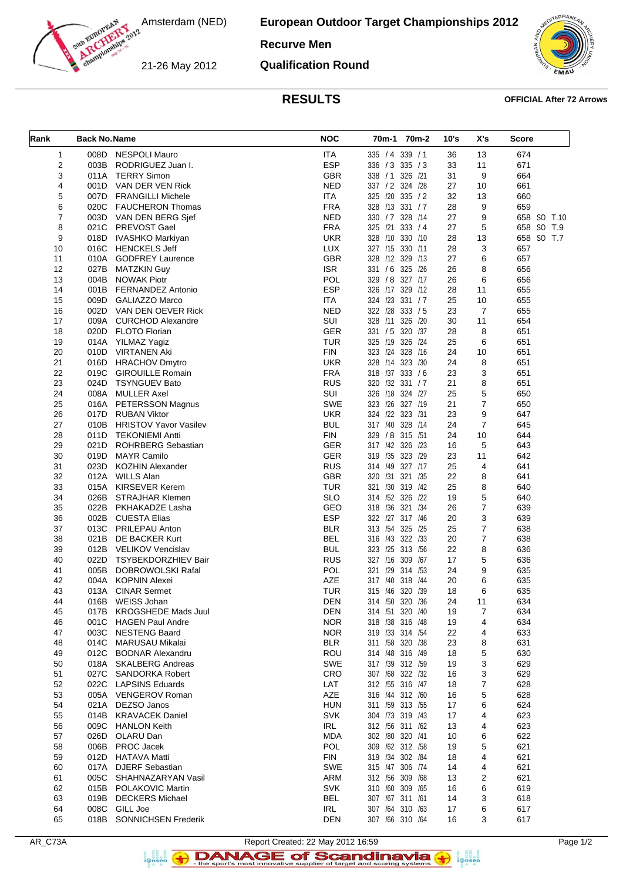Amsterdam (NED)

**European Outdoor Target Championships 2012**

## **Recurve Men**

21-26 May 2012

**Qualification Round**



## **RESULTS OFFICIAL After 72 Arrows**

| Rank                    | <b>Back No. Name</b> |                                                 | <b>NOC</b>               | 70m-1 70m-2                         | 10's     | X's                 | <b>Score</b>       |
|-------------------------|----------------------|-------------------------------------------------|--------------------------|-------------------------------------|----------|---------------------|--------------------|
| 1                       |                      | 008D NESPOLI Mauro                              | <b>ITA</b>               | 335 / 4 339 / 1                     | 36       | 13                  | 674                |
| $\overline{\mathbf{c}}$ |                      | 003B RODRIGUEZ Juan I.                          | <b>ESP</b>               | 336 / 3 335 / 3                     | 33       | 11                  | 671                |
| 3                       | 011A                 | TERRY Simon                                     | GBR                      | 338 / 1 326 / 21                    | 31       | 9                   | 664                |
| 4                       |                      | 001D VAN DER VEN Rick                           | <b>NED</b>               | 337 / 2 324 / 28                    | 27       | 10                  | 661                |
| 5                       |                      | 007D FRANGILLI Michele                          | <b>ITA</b>               | 325 /20 335 / 2                     | 32       | 13                  | 660                |
| 6<br>$\overline{7}$     |                      | 020C FAUCHERON Thomas<br>003D VAN DEN BERG Sjef | <b>FRA</b><br><b>NED</b> | 328 /13 331 / 7<br>330 / 7 328 / 14 | 28<br>27 | 9<br>9              | 659<br>658 SO T.10 |
| 8                       |                      | 021C PREVOST Gael                               | <b>FRA</b>               | 325 /21 333 / 4                     | 27       | 5                   | 658 SO T.9         |
| 9                       |                      | 018D IVASHKO Markiyan                           | <b>UKR</b>               | 328 /10 330 /10                     | 28       | 13                  | 658 SO T.7         |
| 10                      |                      | 016C HENCKELS Jeff                              | <b>LUX</b>               | 327 /15 330 /11                     | 28       | 3                   | 657                |
| 11                      |                      | 010A GODFREY Laurence                           | <b>GBR</b>               | 328 /12 329 /13                     | 27       | 6                   | 657                |
| 12                      |                      | 027B MATZKIN Guy                                | <b>ISR</b>               | 331 / 6 325 /26                     | 26       | 8                   | 656                |
| 13                      |                      | 004B NOWAK Piotr                                | <b>POL</b>               | 329 / 8 327 /17                     | 26       | 6                   | 656                |
| 14                      | 001B                 | <b>FERNANDEZ Antonio</b>                        | <b>ESP</b>               | 326 /17 329 /12                     | 28       | 11                  | 655                |
| 15                      |                      | 009D GALIAZZO Marco                             | <b>ITA</b>               | 324 /23 331 / 7                     | 25       | 10                  | 655                |
| 16                      |                      | 002D VAN DEN OEVER Rick                         | <b>NED</b>               | 322 /28 333 / 5                     | 23       | $\overline{7}$      | 655                |
| 17                      |                      | 009A CURCHOD Alexandre                          | SUI                      | 328 /11 326 /20                     | 30       | 11                  | 654                |
| 18                      |                      | 020D FLOTO Florian                              | <b>GER</b>               | 331 / 5 320 / 37                    | 28       | 8                   | 651                |
| 19                      |                      | 014A YILMAZ Yagiz                               | <b>TUR</b>               | 325 /19 326 /24                     | 25       | 6                   | 651                |
| 20                      | 010D                 | VIRTANEN Aki                                    | <b>FIN</b>               | 323 /24 328 /16                     | 24       | 10                  | 651                |
| 21                      |                      | 016D HRACHOV Dmytro                             | <b>UKR</b>               | 328 /14 323 /30                     | 24       | 8                   | 651                |
| 22                      | 019C                 | <b>GIROUILLE Romain</b>                         | <b>FRA</b>               | 318 /37 333 / 6                     | 23       | 3                   | 651                |
| 23                      | 024D                 | <b>TSYNGUEV Bato</b><br>008A MULLER Axel        | <b>RUS</b><br>SUI        | 320 /32 331 / 7<br>326 /18 324 /27  | 21<br>25 | 8                   | 651                |
| 24<br>25                |                      | 016A PETERSSON Magnus                           | <b>SWE</b>               | 323 /26 327 /19                     | 21       | 5<br>$\overline{7}$ | 650<br>650         |
| 26                      |                      | 017D RUBAN Viktor                               | <b>UKR</b>               | 324 /22 323 /31                     | 23       | 9                   | 647                |
| 27                      |                      | 010B HRISTOV Yavor Vasilev                      | <b>BUL</b>               | 317 /40 328 /14                     | 24       | $\overline{7}$      | 645                |
| 28                      | 011D                 | TEKONIEMI Antti                                 | <b>FIN</b>               | 329 / 8 315 /51                     | 24       | 10                  | 644                |
| 29                      | 021D                 | <b>ROHRBERG Sebastian</b>                       | GER                      | 317 /42 326 /23                     | 16       | 5                   | 643                |
| 30                      |                      | 019D MAYR Camilo                                | <b>GER</b>               | 319 /35 323 /29                     | 23       | 11                  | 642                |
| 31                      |                      | 023D KOZHIN Alexander                           | <b>RUS</b>               | 314 /49 327 /17                     | 25       | 4                   | 641                |
| 32                      |                      | 012A WILLS Alan                                 | <b>GBR</b>               | 320 /31 321 /35                     | 22       | 8                   | 641                |
| 33                      | 015A                 | KIRSEVER Kerem                                  | <b>TUR</b>               | 321 /30 319 /42                     | 25       | 8                   | 640                |
| 34                      | 026B                 | <b>STRAJHAR Klemen</b>                          | <b>SLO</b>               | 314 /52 326 /22                     | 19       | 5                   | 640                |
| 35                      |                      | 022B PKHAKADZE Lasha                            | GEO                      | 318 /36 321 /34                     | 26       | $\overline{7}$      | 639                |
| 36                      |                      | 002B CUESTA Elias                               | <b>ESP</b>               | 322 /27 317 /46                     | 20       | 3                   | 639                |
| 37                      | 013C                 | <b>PRILEPAU Anton</b>                           | <b>BLR</b>               | 313 /54 325 /25                     | 25       | 7                   | 638                |
| 38                      |                      | 021B DE BACKER Kurt                             | <b>BEL</b>               | 316 /43 322 /33                     | 20       | 7                   | 638                |
| 39                      |                      | 012B VELIKOV Vencislav                          | <b>BUL</b>               | 323 /25 313 /56                     | 22       | 8                   | 636                |
| 40<br>41                | 022D<br>005B         | TSYBEKDORZHIEV Bair<br>DOBROWOLSKI Rafal        | <b>RUS</b><br>POL        | 327 /16 309 /67<br>321 /29 314 /53  | 17<br>24 | 5<br>9              | 636<br>635         |
| 42                      |                      | 004A KOPNIN Alexei                              | <b>AZE</b>               | 317 /40 318 /44                     | 20       | 6                   | 635                |
| 43                      |                      | 013A CINAR Sermet                               | <b>TUR</b>               | 315 /46 320 /39                     | 18       | 6                   | 635                |
| 44                      |                      | 016B WEISS Johan                                | <b>DEN</b>               | 314 /50 320 /36                     | 24       | 11                  | 634                |
| 45                      |                      | 017B KROGSHEDE Mads Juul                        | <b>DEN</b>               | 314 /51 320 /40                     | 19       | 7                   | 634                |
| 46                      | 001C                 | <b>HAGEN Paul Andre</b>                         | <b>NOR</b>               | 318 /38 316 /48                     | 19       | 4                   | 634                |
| 47                      | 003C                 | <b>NESTENG Baard</b>                            | <b>NOR</b>               | 319 /33 314 /54                     | 22       | 4                   | 633                |
| 48                      | 014C                 | MARUSAU Mikalai                                 | <b>BLR</b>               | 311 /58 320 /38                     | 23       | 8                   | 631                |
| 49                      | 012C                 | <b>BODNAR Alexandru</b>                         | ROU                      | 314 /48 316 /49                     | 18       | 5                   | 630                |
| 50                      |                      | 018A SKALBERG Andreas                           | <b>SWE</b>               | 317 /39 312 /59                     | 19       | 3                   | 629                |
| 51                      |                      | 027C SANDORKA Robert                            | CRO                      | 307 /68 322 /32                     | 16       | 3                   | 629                |
| 52                      | 022C                 | <b>LAPSINS Eduards</b>                          | LAT                      | 312 /55 316 /47                     | 18       | 7                   | 628                |
| 53                      |                      | 005A VENGEROV Roman                             | AZE                      | 316 /44 312 /60                     | 16       | 5                   | 628                |
| 54                      |                      | 021A DEZSO Janos                                | <b>HUN</b>               | 311 /59 313 /55                     | 17       | 6                   | 624                |
| 55                      | 014B                 | <b>KRAVACEK Daniel</b>                          | <b>SVK</b>               | 304 /73 319 /43                     | 17       | 4                   | 623                |
| 56                      | 009C                 | HANLON Keith                                    | IRL                      | 312 /56 311 /62                     | 13       | 4                   | 623                |
| 57                      | 006B                 | 026D OLARU Dan<br>PROC Jacek                    | <b>MDA</b><br>POL        | 302 /80 320 /41<br>309 /62 312 /58  | 10<br>19 | 6<br>5              | 622<br>621         |
| 58<br>59                | 012D                 | HATAVA Matti                                    | FIN                      | 319 /34 302 /84                     | 18       | 4                   | 621                |
| 60                      | 017A                 | <b>DJERF Sebastian</b>                          | SWE                      | 315 /47 306 /74                     | 14       | 4                   | 621                |
| 61                      | 005C                 | SHAHNAZARYAN Vasil                              | ARM                      | 312 /56 309 /68                     | 13       | 2                   | 621                |
| 62                      |                      | 015B POLAKOVIC Martin                           | <b>SVK</b>               | 310 /60 309 /65                     | 16       | 6                   | 619                |
| 63                      | 019B                 | <b>DECKERS Michael</b>                          | <b>BEL</b>               | 307 /67 311 /61                     | 14       | 3                   | 618                |
| 64                      | 008C                 | GILL Joe                                        | <b>IRL</b>               | 307 /64 310 /63                     | 17       | 6                   | 617                |
| 65                      | 018B                 | SONNICHSEN Frederik                             | <b>DEN</b>               | 307 /66 310 /64                     | 16       | 3                   | 617                |
|                         |                      |                                                 |                          |                                     |          |                     |                    |



a analis<br>i@nseo

 $\left( \rightarrow \right)$